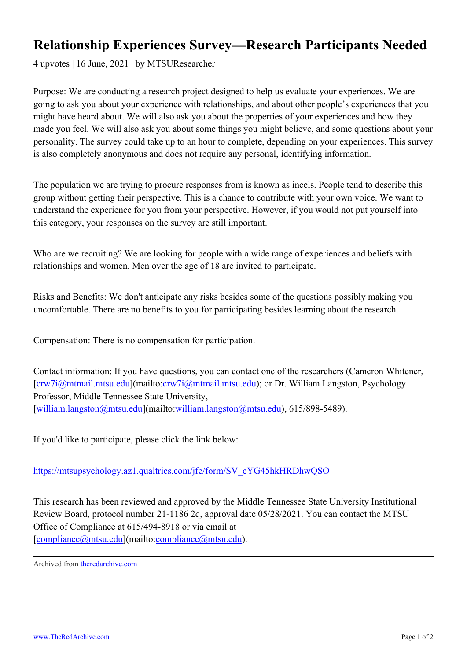## **Relationship Experiences Survey—Research Participants Needed**

4 upvotes | 16 June, 2021 | by MTSUResearcher

Purpose: We are conducting a research project designed to help us evaluate your experiences. We are going to ask you about your experience with relationships, and about other people's experiences that you might have heard about. We will also ask you about the properties of your experiences and how they made you feel. We will also ask you about some things you might believe, and some questions about your personality. The survey could take up to an hour to complete, depending on your experiences. This survey is also completely anonymous and does not require any personal, identifying information.

The population we are trying to procure responses from is known as incels. People tend to describe this group without getting their perspective. This is a chance to contribute with your own voice. We want to understand the experience for you from your perspective. However, if you would not put yourself into this category, your responses on the survey are still important.

Who are we recruiting? We are looking for people with a wide range of experiences and beliefs with relationships and women. Men over the age of 18 are invited to participate.

Risks and Benefits: We don't anticipate any risks besides some of the questions possibly making you uncomfortable. There are no benefits to you for participating besides learning about the research.

Compensation: There is no compensation for participation.

Contact information: If you have questions, you can contact one of the researchers (Cameron Whitener, [[crw7i@mtmail.mtsu.edu\]](mailto:crw7i@mtmail.mtsu.edu)(mailto:[crw7i@mtmail.mtsu.edu\)](mailto:crw7i@mtmail.mtsu.edu); or Dr. William Langston, Psychology Professor, Middle Tennessee State University, [[william.langston@mtsu.edu\]](mailto:william.langston@mtsu.edu)(mailto:[william.langston@mtsu.edu\)](mailto:william.langston@mtsu.edu), 615/898-5489).

If you'd like to participate, please click the link below:

## [https://mtsupsychology.az1.qualtrics.com/jfe/form/SV\\_cYG45hkHRDhwQSO](https://mtsupsychology.az1.qualtrics.com/jfe/form/SV_cYG45hkHRDhwQSO)

This research has been reviewed and approved by the Middle Tennessee State University Institutional Review Board, protocol number 21-1186 2q, approval date 05/28/2021. You can contact the MTSU Office of Compliance at 615/494-8918 or via email at [[compliance@mtsu.edu\]](mailto:compliance@mtsu.edu)(mailto:[compliance@mtsu.edu\)](mailto:compliance@mtsu.edu).

Archived from [theredarchive.com](https://theredarchive.com/r/TheRedPillStories/relationship-experiences-surveyresearch.784147)